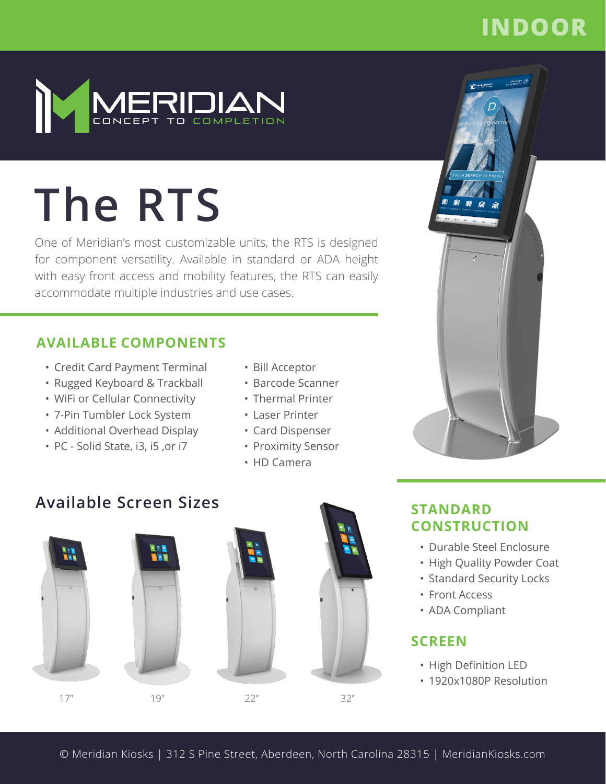## **INDOOR**



# **The RTS**

One of Meridian's most customizable units, the RTS is designed for component versatility. Available in standard or ADA height with easy front access and mobility features, the RTS can easily accommodate multiple industries and use cases.

### **AVAILABLE COMPONENTS**

- Credit Card Payment Terminal
- Rugged Keyboard & Trackball
- WiFi or Cellular Connectivity
- 7-Pin Tumbler Lock System
- Additional Overhead Display
- PC Solid State, i3, i5 ,or i7
- Bill Acceptor
- Barcode Scanner
- Thermal Printer
- Laser Printer
- Card Dispenser
- Proximity Sensor
- HD Camera

## **Available Screen Sizes**







**STANDARD CONSTRUCTION**

- Durable Steel Enclosure
- High Quality Powder Coat
- Standard Security Locks
- Front Access
- ADA Compliant

## **SCREEN**

- High Definition LED
- 1920x1080P Resolution
- © Meridian Kiosks | 312 S Pine Street, Aberdeen, North Carolina 28315 | MeridianKiosks.com

32"